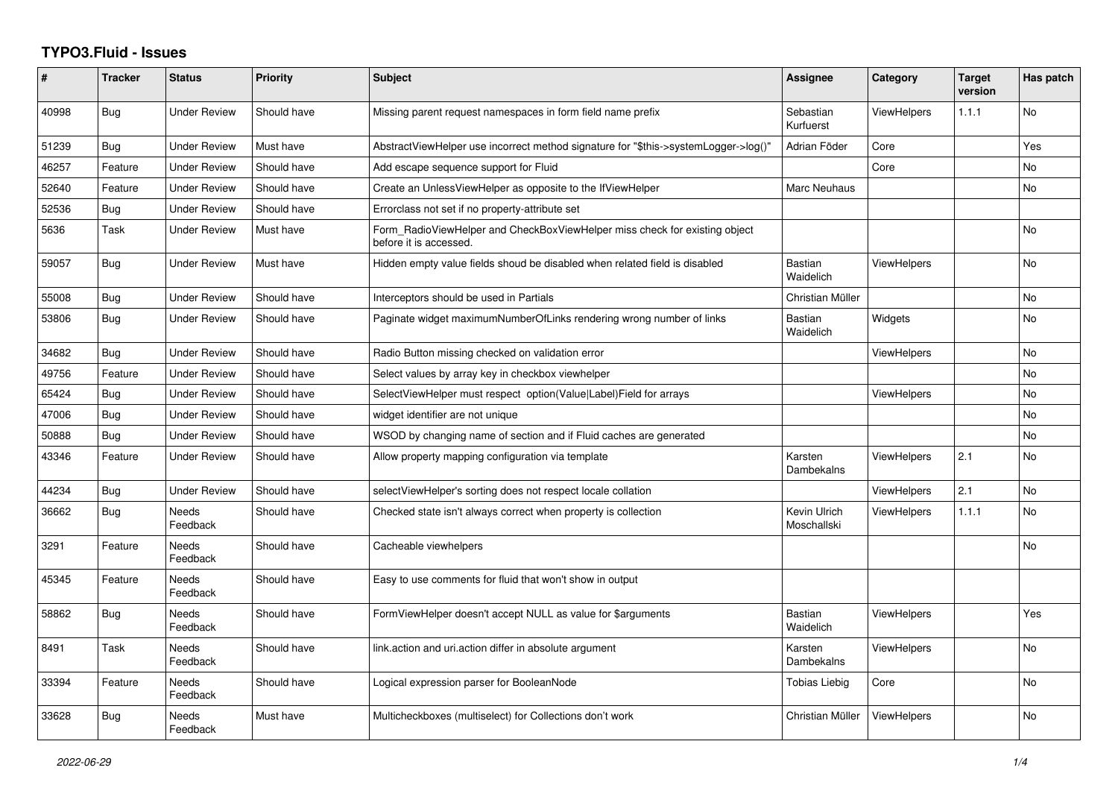## **TYPO3.Fluid - Issues**

| #     | <b>Tracker</b> | <b>Status</b>            | Priority    | <b>Subject</b>                                                                                       | Assignee                    | Category           | <b>Target</b><br>version | Has patch      |
|-------|----------------|--------------------------|-------------|------------------------------------------------------------------------------------------------------|-----------------------------|--------------------|--------------------------|----------------|
| 40998 | Bug            | <b>Under Review</b>      | Should have | Missing parent request namespaces in form field name prefix                                          | Sebastian<br>Kurfuerst      | <b>ViewHelpers</b> | 1.1.1                    | No             |
| 51239 | Bug            | <b>Under Review</b>      | Must have   | AbstractViewHelper use incorrect method signature for "\$this->systemLogger->log()"                  | Adrian Föder                | Core               |                          | Yes            |
| 46257 | Feature        | <b>Under Review</b>      | Should have | Add escape sequence support for Fluid                                                                |                             | Core               |                          | N <sub>o</sub> |
| 52640 | Feature        | <b>Under Review</b>      | Should have | Create an UnlessViewHelper as opposite to the IfViewHelper                                           | <b>Marc Neuhaus</b>         |                    |                          | No             |
| 52536 | <b>Bug</b>     | <b>Under Review</b>      | Should have | Errorclass not set if no property-attribute set                                                      |                             |                    |                          |                |
| 5636  | Task           | <b>Under Review</b>      | Must have   | Form RadioViewHelper and CheckBoxViewHelper miss check for existing object<br>before it is accessed. |                             |                    |                          | <b>No</b>      |
| 59057 | <b>Bug</b>     | Under Review             | Must have   | Hidden empty value fields shoud be disabled when related field is disabled                           | <b>Bastian</b><br>Waidelich | <b>ViewHelpers</b> |                          | <b>No</b>      |
| 55008 | <b>Bug</b>     | Under Review             | Should have | Interceptors should be used in Partials                                                              | Christian Müller            |                    |                          | <b>No</b>      |
| 53806 | <b>Bug</b>     | <b>Under Review</b>      | Should have | Paginate widget maximumNumberOfLinks rendering wrong number of links                                 | <b>Bastian</b><br>Waidelich | Widgets            |                          | <b>No</b>      |
| 34682 | Bug            | <b>Under Review</b>      | Should have | Radio Button missing checked on validation error                                                     |                             | <b>ViewHelpers</b> |                          | <b>No</b>      |
| 49756 | Feature        | <b>Under Review</b>      | Should have | Select values by array key in checkbox viewhelper                                                    |                             |                    |                          | <b>No</b>      |
| 65424 | Bug            | <b>Under Review</b>      | Should have | SelectViewHelper must respect option(Value Label)Field for arrays                                    |                             | <b>ViewHelpers</b> |                          | <b>No</b>      |
| 47006 | <b>Bug</b>     | <b>Under Review</b>      | Should have | widget identifier are not unique                                                                     |                             |                    |                          | <b>No</b>      |
| 50888 | Bug            | <b>Under Review</b>      | Should have | WSOD by changing name of section and if Fluid caches are generated                                   |                             |                    |                          | <b>No</b>      |
| 43346 | Feature        | <b>Under Review</b>      | Should have | Allow property mapping configuration via template                                                    | Karsten<br>Dambekalns       | ViewHelpers        | 2.1                      | <b>No</b>      |
| 44234 | Bug            | Under Review             | Should have | selectViewHelper's sorting does not respect locale collation                                         |                             | <b>ViewHelpers</b> | 2.1                      | No             |
| 36662 | Bug            | <b>Needs</b><br>Feedback | Should have | Checked state isn't always correct when property is collection                                       | Kevin Ulrich<br>Moschallski | <b>ViewHelpers</b> | 1.1.1                    | <b>No</b>      |
| 3291  | Feature        | Needs<br>Feedback        | Should have | Cacheable viewhelpers                                                                                |                             |                    |                          | <b>No</b>      |
| 45345 | Feature        | Needs<br>Feedback        | Should have | Easy to use comments for fluid that won't show in output                                             |                             |                    |                          |                |
| 58862 | Bug            | <b>Needs</b><br>Feedback | Should have | FormViewHelper doesn't accept NULL as value for \$arguments                                          | <b>Bastian</b><br>Waidelich | <b>ViewHelpers</b> |                          | Yes            |
| 8491  | Task           | <b>Needs</b><br>Feedback | Should have | link.action and uri.action differ in absolute argument                                               | Karsten<br>Dambekalns       | <b>ViewHelpers</b> |                          | <b>No</b>      |
| 33394 | Feature        | Needs<br>Feedback        | Should have | Logical expression parser for BooleanNode                                                            | Tobias Liebig               | Core               |                          | No             |
| 33628 | Bug            | Needs<br>Feedback        | Must have   | Multicheckboxes (multiselect) for Collections don't work                                             | Christian Müller            | <b>ViewHelpers</b> |                          | <b>No</b>      |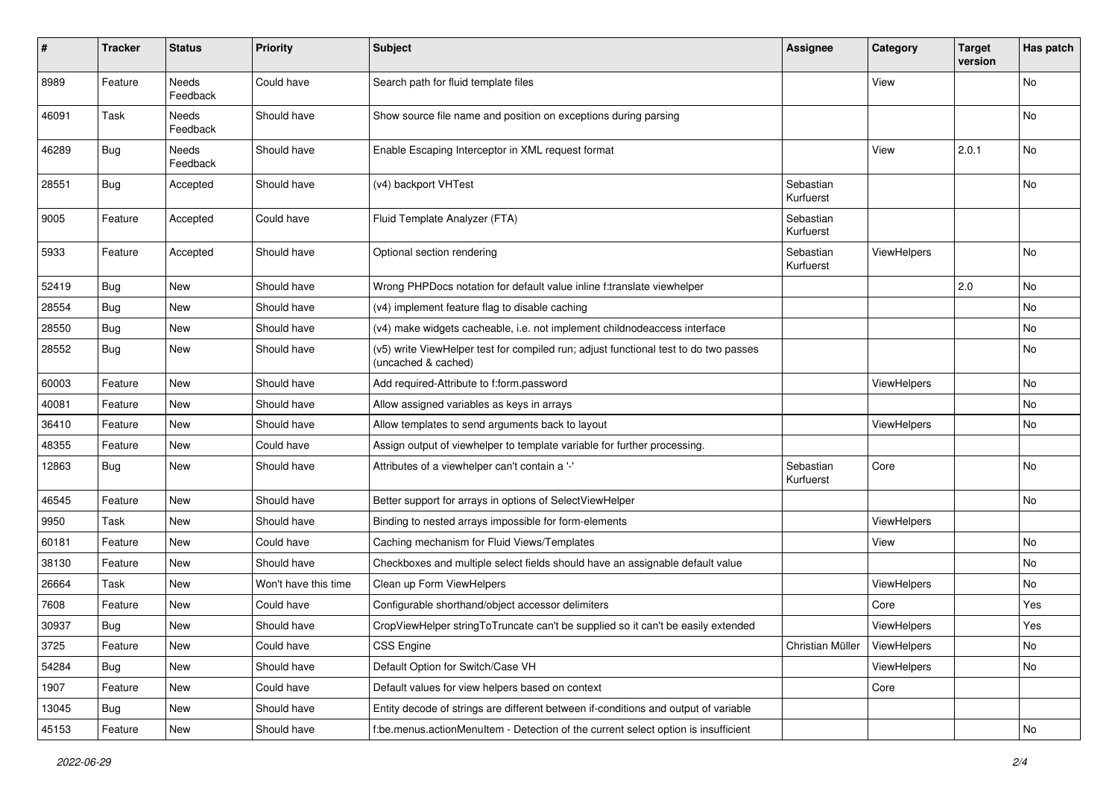| $\#$  | <b>Tracker</b> | <b>Status</b>            | <b>Priority</b>      | Subject                                                                                                     | <b>Assignee</b>        | Category    | <b>Target</b><br>version | Has patch |
|-------|----------------|--------------------------|----------------------|-------------------------------------------------------------------------------------------------------------|------------------------|-------------|--------------------------|-----------|
| 8989  | Feature        | <b>Needs</b><br>Feedback | Could have           | Search path for fluid template files                                                                        |                        | View        |                          | <b>No</b> |
| 46091 | Task           | Needs<br>Feedback        | Should have          | Show source file name and position on exceptions during parsing                                             |                        |             |                          | No        |
| 46289 | <b>Bug</b>     | Needs<br>Feedback        | Should have          | Enable Escaping Interceptor in XML request format                                                           |                        | View        | 2.0.1                    | No        |
| 28551 | Bug            | Accepted                 | Should have          | (v4) backport VHTest                                                                                        | Sebastian<br>Kurfuerst |             |                          | No        |
| 9005  | Feature        | Accepted                 | Could have           | Fluid Template Analyzer (FTA)                                                                               | Sebastian<br>Kurfuerst |             |                          |           |
| 5933  | Feature        | Accepted                 | Should have          | Optional section rendering                                                                                  | Sebastian<br>Kurfuerst | ViewHelpers |                          | No        |
| 52419 | Bug            | New                      | Should have          | Wrong PHPDocs notation for default value inline f:translate viewhelper                                      |                        |             | 2.0                      | No        |
| 28554 | <b>Bug</b>     | New                      | Should have          | (v4) implement feature flag to disable caching                                                              |                        |             |                          | No        |
| 28550 | <b>Bug</b>     | New                      | Should have          | (v4) make widgets cacheable, i.e. not implement childnodeaccess interface                                   |                        |             |                          | No        |
| 28552 | Bug            | New                      | Should have          | (v5) write ViewHelper test for compiled run; adjust functional test to do two passes<br>(uncached & cached) |                        |             |                          | No        |
| 60003 | Feature        | New                      | Should have          | Add required-Attribute to f:form.password                                                                   |                        | ViewHelpers |                          | No        |
| 40081 | Feature        | New                      | Should have          | Allow assigned variables as keys in arrays                                                                  |                        |             |                          | No        |
| 36410 | Feature        | New                      | Should have          | Allow templates to send arguments back to layout                                                            |                        | ViewHelpers |                          | No        |
| 48355 | Feature        | New                      | Could have           | Assign output of viewhelper to template variable for further processing.                                    |                        |             |                          |           |
| 12863 | Bug            | New                      | Should have          | Attributes of a viewhelper can't contain a '-'                                                              | Sebastian<br>Kurfuerst | Core        |                          | No        |
| 46545 | Feature        | New                      | Should have          | Better support for arrays in options of SelectViewHelper                                                    |                        |             |                          | No        |
| 9950  | Task           | New                      | Should have          | Binding to nested arrays impossible for form-elements                                                       |                        | ViewHelpers |                          |           |
| 60181 | Feature        | New                      | Could have           | Caching mechanism for Fluid Views/Templates                                                                 |                        | View        |                          | No        |
| 38130 | Feature        | New                      | Should have          | Checkboxes and multiple select fields should have an assignable default value                               |                        |             |                          | No        |
| 26664 | Task           | New                      | Won't have this time | Clean up Form ViewHelpers                                                                                   |                        | ViewHelpers |                          | No        |
| 7608  | Feature        | New                      | Could have           | Configurable shorthand/object accessor delimiters                                                           |                        | Core        |                          | Yes       |
| 30937 | <b>Bug</b>     | New                      | Should have          | CropViewHelper stringToTruncate can't be supplied so it can't be easily extended                            |                        | ViewHelpers |                          | Yes       |
| 3725  | Feature        | New                      | Could have           | CSS Engine                                                                                                  | Christian Müller       | ViewHelpers |                          | No        |
| 54284 | Bug            | New                      | Should have          | Default Option for Switch/Case VH                                                                           |                        | ViewHelpers |                          | No        |
| 1907  | Feature        | New                      | Could have           | Default values for view helpers based on context                                                            |                        | Core        |                          |           |
| 13045 | Bug            | New                      | Should have          | Entity decode of strings are different between if-conditions and output of variable                         |                        |             |                          |           |
| 45153 | Feature        | New                      | Should have          | f:be.menus.actionMenuItem - Detection of the current select option is insufficient                          |                        |             |                          | No        |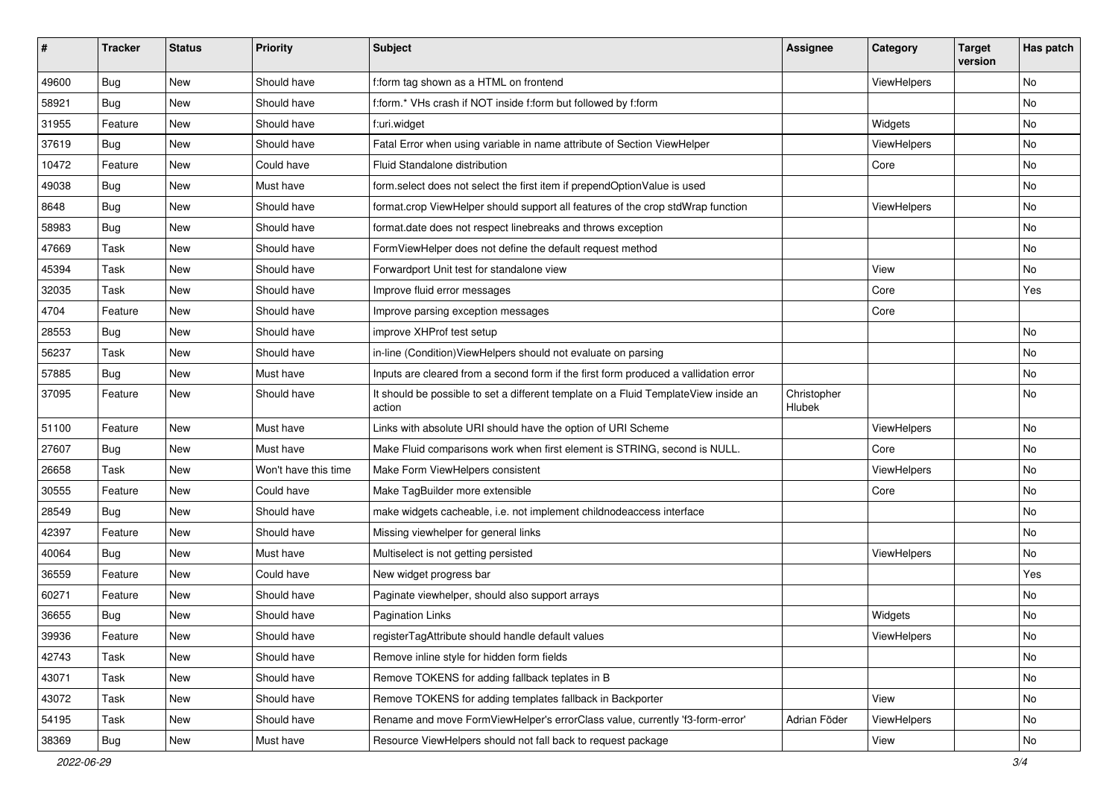| #     | <b>Tracker</b> | <b>Status</b> | <b>Priority</b>      | Subject                                                                                       | <b>Assignee</b>       | Category    | <b>Target</b><br>version | Has patch |
|-------|----------------|---------------|----------------------|-----------------------------------------------------------------------------------------------|-----------------------|-------------|--------------------------|-----------|
| 49600 | Bug            | New           | Should have          | f:form tag shown as a HTML on frontend                                                        |                       | ViewHelpers |                          | <b>No</b> |
| 58921 | Bug            | New           | Should have          | f:form.* VHs crash if NOT inside f:form but followed by f:form                                |                       |             |                          | No        |
| 31955 | Feature        | New           | Should have          | f:uri.widget                                                                                  |                       | Widgets     |                          | No        |
| 37619 | Bug            | New           | Should have          | Fatal Error when using variable in name attribute of Section ViewHelper                       |                       | ViewHelpers |                          | <b>No</b> |
| 10472 | Feature        | New           | Could have           | Fluid Standalone distribution                                                                 |                       | Core        |                          | No        |
| 49038 | Bug            | New           | Must have            | form.select does not select the first item if prependOptionValue is used                      |                       |             |                          | <b>No</b> |
| 8648  | Bug            | New           | Should have          | format.crop ViewHelper should support all features of the crop stdWrap function               |                       | ViewHelpers |                          | No        |
| 58983 | Bug            | New           | Should have          | format.date does not respect linebreaks and throws exception                                  |                       |             |                          | No        |
| 47669 | Task           | New           | Should have          | FormViewHelper does not define the default request method                                     |                       |             |                          | No        |
| 45394 | Task           | New           | Should have          | Forwardport Unit test for standalone view                                                     |                       | View        |                          | No        |
| 32035 | Task           | New           | Should have          | Improve fluid error messages                                                                  |                       | Core        |                          | Yes       |
| 4704  | Feature        | New           | Should have          | Improve parsing exception messages                                                            |                       | Core        |                          |           |
| 28553 | Bug            | New           | Should have          | improve XHProf test setup                                                                     |                       |             |                          | <b>No</b> |
| 56237 | Task           | New           | Should have          | in-line (Condition) ViewHelpers should not evaluate on parsing                                |                       |             |                          | <b>No</b> |
| 57885 | Bug            | New           | Must have            | Inputs are cleared from a second form if the first form produced a vallidation error          |                       |             |                          | No        |
| 37095 | Feature        | New           | Should have          | It should be possible to set a different template on a Fluid TemplateView inside an<br>action | Christopher<br>Hlubek |             |                          | <b>No</b> |
| 51100 | Feature        | New           | Must have            | Links with absolute URI should have the option of URI Scheme                                  |                       | ViewHelpers |                          | No        |
| 27607 | Bug            | New           | Must have            | Make Fluid comparisons work when first element is STRING, second is NULL.                     |                       | Core        |                          | <b>No</b> |
| 26658 | Task           | New           | Won't have this time | Make Form ViewHelpers consistent                                                              |                       | ViewHelpers |                          | No        |
| 30555 | Feature        | <b>New</b>    | Could have           | Make TagBuilder more extensible                                                               |                       | Core        |                          | No        |
| 28549 | Bug            | New           | Should have          | make widgets cacheable, i.e. not implement childnodeaccess interface                          |                       |             |                          | No        |
| 42397 | Feature        | New           | Should have          | Missing viewhelper for general links                                                          |                       |             |                          | No        |
| 40064 | Bug            | New           | Must have            | Multiselect is not getting persisted                                                          |                       | ViewHelpers |                          | No        |
| 36559 | Feature        | New           | Could have           | New widget progress bar                                                                       |                       |             |                          | Yes       |
| 60271 | Feature        | New           | Should have          | Paginate viewhelper, should also support arrays                                               |                       |             |                          | No        |
| 36655 | <b>Bug</b>     | New           | Should have          | <b>Pagination Links</b>                                                                       |                       | Widgets     |                          | No        |
| 39936 | Feature        | New           | Should have          | registerTagAttribute should handle default values                                             |                       | ViewHelpers |                          | No        |
| 42743 | Task           | New           | Should have          | Remove inline style for hidden form fields                                                    |                       |             |                          | No        |
| 43071 | Task           | New           | Should have          | Remove TOKENS for adding fallback teplates in B                                               |                       |             |                          | No        |
| 43072 | Task           | New           | Should have          | Remove TOKENS for adding templates fallback in Backporter                                     |                       | View        |                          | No        |
| 54195 | Task           | New           | Should have          | Rename and move FormViewHelper's errorClass value, currently 'f3-form-error'                  | Adrian Föder          | ViewHelpers |                          | No        |
| 38369 | <b>Bug</b>     | New           | Must have            | Resource ViewHelpers should not fall back to request package                                  |                       | View        |                          | No        |